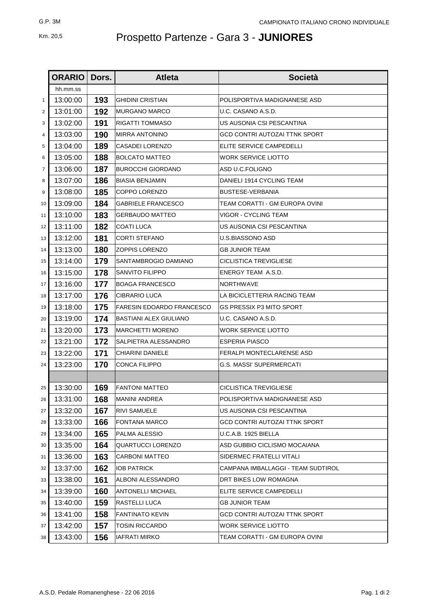## Km. 20,5 Prospetto Partenze - Gara 3 - **JUNIORES**

|                | <b>ORARIO</b> | Dors. | <b>Atleta</b>                    | <b>Società</b>                     |
|----------------|---------------|-------|----------------------------------|------------------------------------|
|                | hh.mm.ss      |       |                                  |                                    |
| 1              | 13:00:00      | 193   | <b>GHIDINI CRISTIAN</b>          | POLISPORTIVA MADIGNANESE ASD       |
| 2              | 13:01:00      | 192   | <b>MURGANO MARCO</b>             | U.C. CASANO A.S.D.                 |
| 3              | 13:02:00      | 191   | RIGATTI TOMMASO                  | US AUSONIA CSI PESCANTINA          |
| 4              | 13:03:00      | 190   | MIRRA ANTONINO                   | GCD CONTRI AUTOZAI TTNK SPORT      |
| 5              | 13:04:00      | 189   | CASADEI LORENZO                  | ELITE SERVICE CAMPEDELLI           |
| 6              | 13:05:00      | 188   | <b>BOLCATO MATTEO</b>            | WORK SERVICE LIOTTO                |
| $\overline{7}$ | 13:06:00      | 187   | <b>BUROCCHI GIORDANO</b>         | ASD U.C.FOLIGNO                    |
| 8              | 13:07:00      | 186   | <b>BIASIA BENJAMIN</b>           | DANIELI 1914 CYCLING TEAM          |
| 9              | 13:08:00      | 185   | COPPO LORENZO                    | <b>BUSTESE-VERBANIA</b>            |
| 10             | 13:09:00      | 184   | GABRIELE FRANCESCO               | TEAM CORATTI - GM EUROPA OVINI     |
| 11             | 13:10:00      | 183   | <b>GERBAUDO MATTEO</b>           | VIGOR - CYCLING TEAM               |
| 12             | 13:11:00      | 182   | COATI LUCA                       | US AUSONIA CSI PESCANTINA          |
| 13             | 13:12:00      | 181   | <b>CORTI STEFANO</b>             | U.S.BIASSONO ASD                   |
| 14             | 13:13:00      | 180   | <b>ZOPPIS LORENZO</b>            | <b>GB JUNIOR TEAM</b>              |
| 15             | 13:14:00      | 179   | SANTAMBROGIO DAMIANO             | CICLISTICA TREVIGLIESE             |
| 16             | 13:15:00      | 178   | SANVITO FILIPPO                  | ENERGY TEAM A.S.D.                 |
| 17             | 13:16:00      | 177   | <b>BOAGA FRANCESCO</b>           | NORTHWAVE                          |
| 18             | 13:17:00      | 176   | <b>CIBRARIO LUCA</b>             | LA BICICLETTERIA RACING TEAM       |
| 19             | 13:18:00      | 175   | <b>FARESIN EDOARDO FRANCESCO</b> | <b>GS PRESSIX P3 MITO SPORT</b>    |
| 20             | 13:19:00      | 174   | BASTIANI ALEX GIULIANO           | U.C. CASANO A.S.D.                 |
| 21             | 13:20:00      | 173   | <b>MARCHETTI MORENO</b>          | WORK SERVICE LIOTTO                |
| 22             | 13:21:00      | 172   | SALPIETRA ALESSANDRO             | <b>ESPERIA PIASCO</b>              |
| 23             | 13:22:00      | 171   | <b>CHIARINI DANIELE</b>          | FERALPI MONTECLARENSE ASD          |
| 24             | 13:23:00      | 170   | CONCA FILIPPO                    | <b>G.S. MASSI' SUPERMERCATI</b>    |
|                |               |       |                                  |                                    |
| 25             | 13:30:00      | 169   | <b>FANTONI MATTEO</b>            | <b>CICLISTICA TREVIGLIESE</b>      |
| 26             | 13:31:00      | 168   | <b>MANINI ANDREA</b>             | POLISPORTIVA MADIGNANESE ASD       |
| 27             | 13:32:00      | 167   | <b>RIVI SAMUELE</b>              | US AUSONIA CSI PESCANTINA          |
| 28             | 13:33:00      | 166   | FONTANA MARCO                    | GCD CONTRI AUTOZAI TTNK SPORT      |
| 29             | 13:34:00      | 165   | PALMA ALESSIO                    | U.C.A.B. 1925 BIELLA               |
| 30             | 13:35:00      | 164   | <b>QUARTUCCI LORENZO</b>         | ASD GUBBIO CICLISMO MOCAIANA       |
| 31             | 13:36:00      | 163   | CARBONI MATTEO                   | SIDERMEC FRATELLI VITALI           |
| 32             | 13:37:00      | 162   | IOB PATRICK                      | CAMPANA IMBALLAGGI - TEAM SUDTIROL |
| 33             | 13:38:00      | 161   | ALBONI ALESSANDRO                | DRT BIKES LOW ROMAGNA              |
| 34             | 13:39:00      | 160   | <b>ANTONELLI MICHAEL</b>         | ELITE SERVICE CAMPEDELLI           |
| 35             | 13:40:00      | 159   | RASTELLI LUCA                    | <b>GB JUNIOR TEAM</b>              |
| 36             | 13:41:00      | 158   | <b>FANTINATO KEVIN</b>           | GCD CONTRI AUTOZAI TTNK SPORT      |
| 37             | 13:42:00      | 157   | TOSIN RICCARDO                   | <b>WORK SERVICE LIOTTO</b>         |
| 38             | 13:43:00      | 156   | <b>IAFRATI MIRKO</b>             | TEAM CORATTI - GM EUROPA OVINI     |